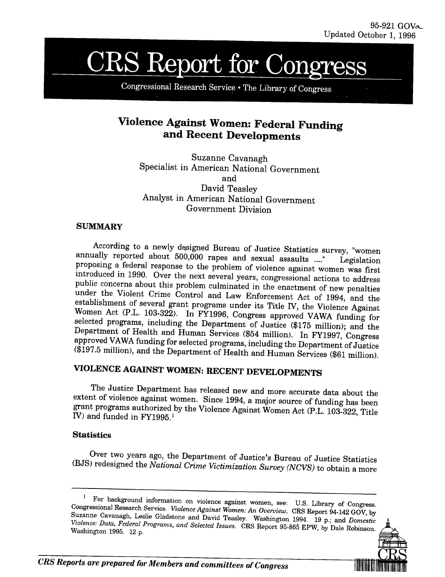# **CRS Report for Cong**

Congressional Research Service . The Library of Congress

## **Violence Against Women: Federal Funding and Recent Developments**

Suzanne Cavanagh Specialist in American National Government Analyst in American National Government and David Teasley Government Division

### **SUMMARY**

According to a newly designed Bureau of Justice Statistics survey, "women<br>annually reported about 500,000 rapes and sexual assaults ...." Legislation<br>proposing a federal response to the problem of violence against women wa

# **VIOLENCE AGAINST WOMEN: RECENT DEVELOPMENTS**

The Justice Department has released new and more accurate data about the extent of violence against women. Since 1994, a major source of funding has been grant programs authorized by the Violence Against Women Act (P.L. 10

## **Statistics**

Over two years ago, the Department of Justice's Bureau of Justice Statistics **(BJS)** redesigned the *National Crime Victimization Survey (NCVS)* to obtain a more

<sup>1</sup> For background information on violence against women, see: U.S. Library of Congress.<br>Congressional Research Service. *Violence Against Women: An Overview*. CRS Report 94-142 GOV, by<br>Suzanne Cavanagh, Leslie Gladstone a

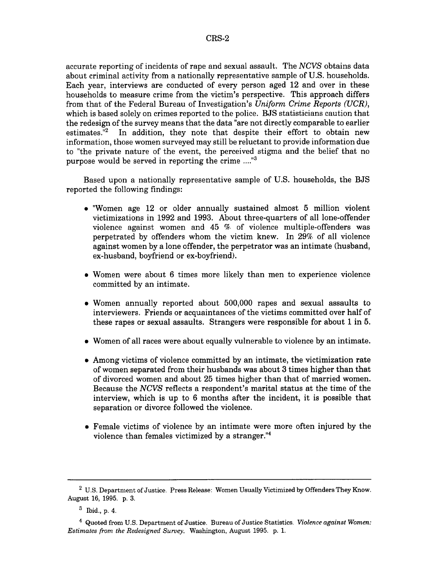accurate reporting of incidents of rape and sexual assault. The *NCVS* obtains data about criminal activity from a nationally representative sample of U.S. households. Each year, interviews are conducted of every person aged 12 and over in these households to measure crime from the victim's perspective. This approach differs from that of the Federal Bureau of Investigation's *Uniform Crime Reports (UCR),* which is based solely on crimes reported to the police. BJS statisticians caution that the redesign of the survey means that the data "are not directly comparable to earlier estimates. $\mathbb{R}^2$  In addition, they note that despite their effort to obtain new information, those women surveyed may still be reluctant to provide information due to "the private nature of the event, the perceived stigma and the belief that no purpose would be served in reporting the crime ...."<sup>3</sup>

Based upon a nationally representative sample of U.S. households, the BJS reported the following findings:

- "\* "Women age 12 or older annually sustained almost 5 million violent victimizations in 1992 and 1993. About three-quarters of all lone-offender violence against women and 45 % of violence multiple-offenders was perpetrated by offenders whom the victim knew. In 29% of all violence against women by a lone offender, the perpetrator was an intimate (husband, ex-husband, boyfriend or ex-boyfriend).
- Women were about 6 times more likely than men to experience violence committed by an intimate.
- Women annually reported about 500,000 rapes and sexual assaults to interviewers. Friends or acquaintances of the victims committed over half of these rapes or sexual assaults. Strangers were responsible for about 1 in 5.
- Women of all races were about equally vulnerable to violence by an intimate.
- Among victims of violence committed by an intimate, the victimization rate of women separated from their husbands was about 3 times higher than that of divorced women and about 25 times higher than that of married women. Because the *NCVS* reflects a respondent's marital status at the time of the interview, which is up to 6 months after the incident, it is possible that separation or divorce followed the violence.
- Female victims of violence by an intimate were more often injured by the violence than females victimized by a stranger."4

<sup>&</sup>lt;sup>2</sup> U.S. Department of Justice. Press Release: Women Usually Victimized by Offenders They Know. August 16, 1995. p. 3.

<sup>3</sup> Ibid., p. 4.

<sup>4</sup> Quoted from U.S. Department of Justice. Bureau of Justice Statistics. *Violence against Women: Estimates from the Redesigned Survey.* Washington, August 1995. p. 1.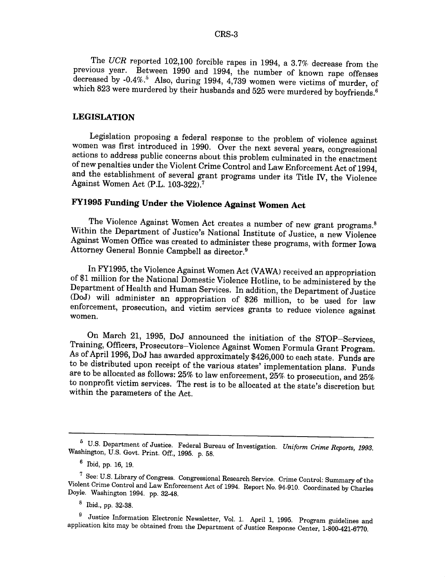The *UCR* reported 102,100 forcible rapes in 1994, a 3.7% decrease from the previous year. Between 1990 and 1994, the number of known rape offenses decreased by -0.4%.<sup>5</sup> Also, during 1994, 4,739 women were victims of murd which 823 were murdered by their husbands and 525 were murdered by boyfriends.<sup>6</sup>

#### **LEGISLATION**

Legislation proposing a federal response to the problem of violence against<br>women was first introduced in 1990. Over the next several years, congressional<br>actions to address public concerns about this problem culminated in and the establishment of several grant programs under its Title IV, the Violence Against Women Act (P.L. 103-322).<sup>7</sup>

## **FY1995 Funding Under the Violence Against Women Act**

The Violence Against Women Act creates a number of new grant programs.<sup>8</sup><br>Within the Department of Justice's National Institute of Justice, a new Violence Against Women Office was created to administer these programs, with former Iowa<br>Attorney General Bonnie Campbell as director.<sup>9</sup>

In FY1995, the Violence Against Women Act (VAWA) received an appropriation<br>of \$1 million for the National Domestic Violence Hotline, to be administered by the<br>Department of Health and Human Services. In addition, the Depar women.

On March 21, 1995, DoJ announced the initiation of the STOP-Services, Training, Officers, Prosecutors-Violence Against Women Formula Grant Program. As of April 1996, DoJ has awarded approximately \$426,000 to each state. Funds are to be distributed upon receipt of the various states' implementation plans. Funds are to be allocated as follows: 25% to law enforcement, 25% to prosecution, and 25% to nonprofit victim services. The rest is to be allocated at the state's discretion but within the parameters of the Act.

<sup>6</sup>U.S. Department of Justice. Federal Bureau of Investigation. *Uniform Crime Reports, 1993.* Washington, U.S. Govt. Print. Off., 1995. p. 58.

<sup>6</sup> Ibid, pp. 16, 19.

<sup>7</sup> See: U.S. Library of Congress. Congressional Research Service. Crime Control: Summary of the Violent Crime Control and Law Enforcement Act of 1994. Report No. 94-910. Coordinated by Charles Doyle. Washington 1994. pp. 32-48.

<sup>8</sup> Ibid., pp. 32-38.

<sup>&</sup>lt;sup>9</sup> Justice Information Electronic Newsletter, Vol. 1. April 1, 1995. Program guidelines and application kits may be obtained from the Department of Justice Response Center, 1-800-421-6770.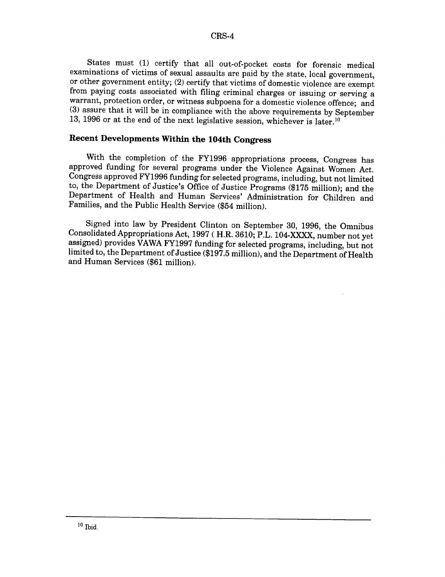States must (1) certify that all out-of-pocket costs for forensic medical examinations of victims of sexual assaults are paid by the state, local government,<br>or other government entity; (2) certify that victims of domestic violence are exempt from paying costs associated with filing criminal charges or issuing or serving a warrant, protection order, or witness subpoena for a domestic violence offence; and (3) assure that it will be in compliance with the above requirements by September 13, 1996 or at the end of the next legislative session, whichever is later.<sup>10</sup>

## **Recent Developments Within the 104th Congress**

With the completion of the FY1996 appropriations process, Congress has approved funding for several programs under the Violence Against Women Act. Congress approved FY1996 funding for selected programs, including, but not limited to, the Department of Justice's Office of Justice Programs (\$175 million); and the Department of Health and Human Services' Administration for Children and Families, and the Public Health Service (\$54 million).

Signed into law by President Clinton on September 30, 1996, the Omnibus assigned) provides VAWA FY1997 funding for selected programs, including, but not limited to, the Department of Justice (\$197.5 million), and the Department of Health and Human Services (\$61 million).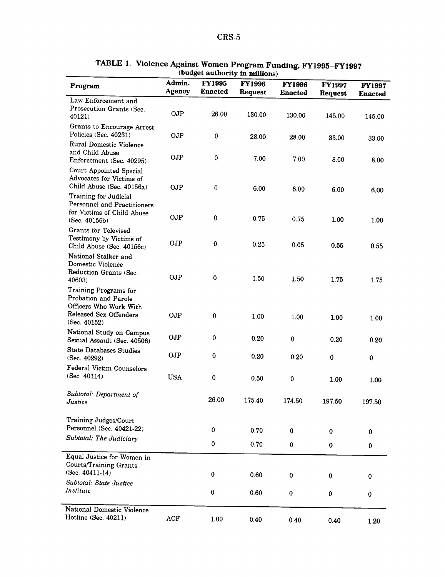| Program                                                                                                           | Admin.<br><b>Agency</b> | <b>FY1995</b><br><b>Enacted</b> | <b>FY1996</b><br>Request | <b>FY1996</b><br><b>Enacted</b> | <b>FY1997</b><br>Request | <b>FY1997</b><br><b>Enacted</b> |
|-------------------------------------------------------------------------------------------------------------------|-------------------------|---------------------------------|--------------------------|---------------------------------|--------------------------|---------------------------------|
| Law Enforcement and                                                                                               |                         |                                 |                          |                                 |                          |                                 |
| Prosecution Grants (Sec.<br>40121)                                                                                | <b>OJP</b>              | 26.00                           | 130.00                   | 130.00                          | 145.00                   | 145.00                          |
| Grants to Encourage Arrest<br>Policies (Sec. 40231)                                                               | <b>OJP</b>              | 0                               | 28.00                    | 28.00                           | 33.00                    | 33.00                           |
| Rural Domestic Violence<br>and Child Abuse<br>Enforcement (Sec. 40295)                                            | <b>OJP</b>              | 0                               | 7.00                     | 7.00                            | 8.00                     | 8.00                            |
| Court Appointed Special<br>Advocates for Victims of<br>Child Abuse (Sec. 40156a)                                  | <b>OJP</b>              | 0                               | 6.00                     | 6.00                            | 6.00                     | 6.00                            |
| Training for Judicial<br>Personnel and Practitioners<br>for Victims of Child Abuse<br>(Sec. 40156b)               | <b>OJP</b>              | $\bf{0}$                        | 0.75                     | 0.75                            | 1.00                     | 1.00                            |
| <b>Grants for Televised</b><br>Testimony by Victims of<br>Child Abuse (Sec. 40156c)                               | OJP                     | $\bf{0}$                        | 0.25                     | 0.05                            | 0.55                     | 0.55                            |
| National Stalker and<br>Domestic Violence<br>Reduction Grants (Sec.<br>40603)                                     | OJP                     | $\bf{0}$                        | 1.50                     | 1.50                            | 1.75                     | 1.75                            |
| Training Programs for<br>Probation and Parole<br>Officers Who Work With<br>Released Sex Offenders<br>(Sec. 40152) | OJP                     | $\bf{0}$                        | 1.00                     | 1.00                            | 1.00                     | 1.00                            |
| National Study on Campus<br>Sexual Assault (Sec. 40506)                                                           | OJP                     | $\pmb{0}$                       | 0.20                     | 0                               | 0.20                     | 0.20                            |
| <b>State Databases Studies</b><br>(Sec. 40292)                                                                    | <b>OJP</b>              | $\bf{0}$                        | 0.20                     | 0.20                            | $\bf{0}$                 | $\bf{0}$                        |
| <b>Federal Victim Counselors</b><br>(Sec. 40114)                                                                  | <b>USA</b>              | 0                               | 0.50                     | 0                               | 1.00                     | 1.00                            |
| Subtotal: Department of<br>Justice                                                                                |                         | 26.00                           | 175.40                   | 174.50                          | 197.50                   | 197.50                          |
| Training Judges/Court<br>Personnel (Sec. 40421-22)                                                                |                         | $\bf{0}$                        | 0.70                     | $\bf{0}$                        | 0                        |                                 |
| Subtotal: The Judiciary                                                                                           |                         | 0                               | 0.70                     | 0                               | 0                        | $\bf{0}$<br>$\bf{0}$            |
| Equal Justice for Women in<br><b>Courts/Training Grants</b><br>(Sec. 40411-14)                                    |                         | 0                               | 0.60                     |                                 |                          |                                 |
| Subtotal: State Justice<br>Institute                                                                              |                         | 0                               | 0.60                     | $\bf{0}$<br>$\bf{0}$            | 0<br>0                   | 0<br>$\pmb{0}$                  |
| National Domestic Violence<br>Hotline (Sec. 40211)                                                                | ACF                     | 1.00                            | 0.40                     | 0.40                            | 0.40                     | 1.20                            |

#### TABLE **1. Violence Against Women Program Funding, FY1995-FY1997 (budget authority in millions)**